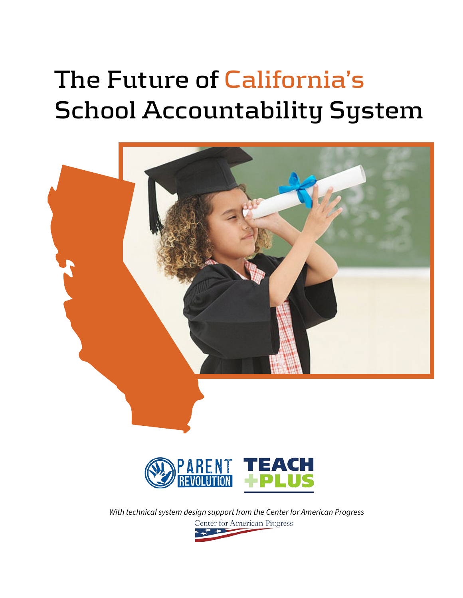# **The Future of California's School Accountability System**





*With technical system design support from the Center for American Progress* Center for American Progress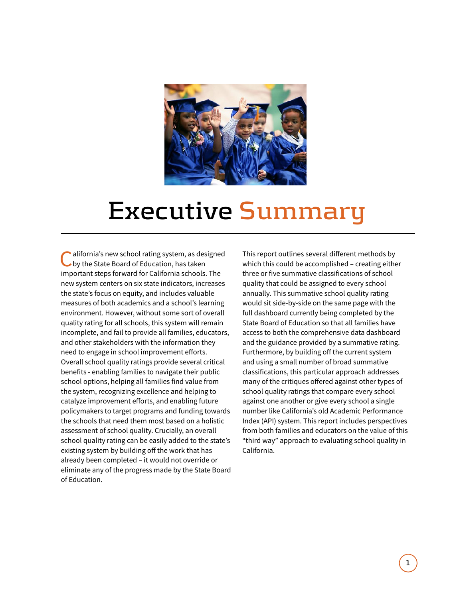

## **Executive Summary**

alifornia's new school rating system, as designed by the State Board of Education, has taken important steps forward for California schools. The new system centers on six state indicators, increases the state's focus on equity, and includes valuable measures of both academics and a school's learning environment. However, without some sort of overall quality rating for all schools, this system will remain incomplete, and fail to provide all families, educators, and other stakeholders with the information they need to engage in school improvement efforts. Overall school quality ratings provide several critical benefits - enabling families to navigate their public school options, helping all families find value from the system, recognizing excellence and helping to catalyze improvement efforts, and enabling future policymakers to target programs and funding towards the schools that need them most based on a holistic assessment of school quality. Crucially, an overall school quality rating can be easily added to the state's existing system by building off the work that has already been completed – it would not override or eliminate any of the progress made by the State Board of Education.

This report outlines several diferent methods by which this could be accomplished – creating either three or five summative classifications of school quality that could be assigned to every school annually. This summative school quality rating would sit side-by-side on the same page with the full dashboard currently being completed by the State Board of Education so that all families have access to both the comprehensive data dashboard and the guidance provided by a summative rating. Furthermore, by building off the current system and using a small number of broad summative classifications, this particular approach addresses many of the critiques offered against other types of school quality ratings that compare every school against one another or give every school a single number like California's old Academic Performance Index (API) system. This report includes perspectives from both families and educators on the value of this "third way" approach to evaluating school quality in California.

Company Name 3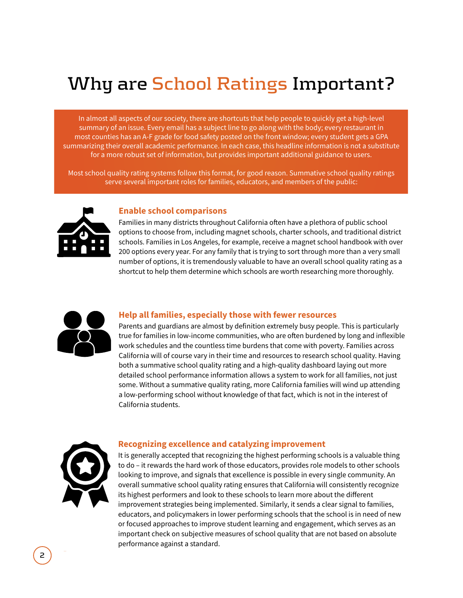## **Why are School Ratings Important?**

In almost all aspects of our society, there are shortcuts that help people to quickly get a high-level summary of an issue. Every email has a subject line to go along with the body; every restaurant in most counties has an A-F grade for food safety posted on the front window; every student gets a GPA summarizing their overall academic performance. In each case, this headline information is not a substitute for a more robust set of information, but provides important additional guidance to users.

Most school quality rating systems follow this format, for good reason. Summative school quality ratings serve several important roles for families, educators, and members of the public:



#### **Enable school comparisons**

Families in many districts throughout California often have a plethora of public school options to choose from, including magnet schools, charter schools, and traditional district schools. Families in Los Angeles, for example, receive a magnet school handbook with over 200 options every year. For any family that is trying to sort through more than a very small number of options, it is tremendously valuable to have an overall school quality rating as a shortcut to help them determine which schools are worth researching more thoroughly.



#### **Help all families, especially those with fewer resources**

Parents and guardians are almost by definition extremely busy people. This is particularly true for families in low-income communities, who are often burdened by long and inflexible work schedules and the countless time burdens that come with poverty. Families across California will of course vary in their time and resources to research school quality. Having both a summative school quality rating and a high-quality dashboard laying out more detailed school performance information allows a system to work for all families, not just some. Without a summative quality rating, more California families will wind up attending a low-performing school without knowledge of that fact, which is not in the interest of California students.



#### **Recognizing excellence and catalyzing improvement**

It is generally accepted that recognizing the highest performing schools is a valuable thing to do – it rewards the hard work of those educators, provides role models to other schools looking to improve, and signals that excellence is possible in every single community. An overall summative school quality rating ensures that California will consistently recognize its highest performers and look to these schools to learn more about the diferent improvement strategies being implemented. Similarly, it sends a clear signal to families, educators, and policymakers in lower performing schools that the school is in need of new or focused approaches to improve student learning and engagement, which serves as an important check on subjective measures of school quality that are not based on absolute performance against a standard.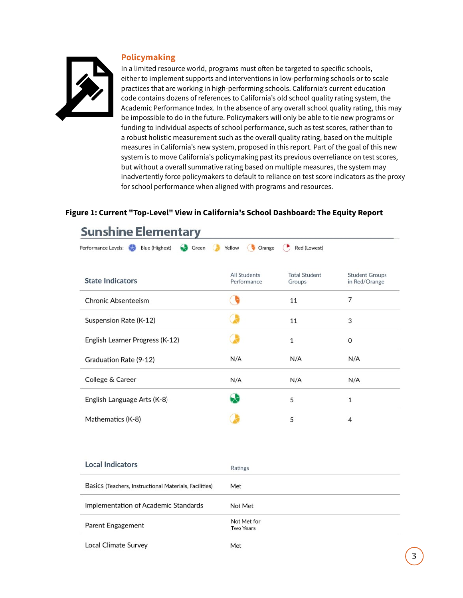#### **Policymaking**



In a limited resource world, programs must often be targeted to specific schools, either to implement supports and interventions in low-performing schools or to scale practices that are working in high-performing schools. California's current education code contains dozens of references to California's old school quality rating system, the Academic Performance Index. In the absence of any overall school quality rating, this may be impossible to do in the future. Policymakers will only be able to tie new programs or funding to individual aspects of school performance, such as test scores, rather than to a robust holistic measurement such as the overall quality rating, based on the multiple measures in California's new system, proposed in this report. Part of the goal of this new system is to move California's policymaking past its previous overreliance on test scores, but without a overall summative rating based on multiple measures, the system may inadvertently force policymakers to default to reliance on test score indicators as the proxy for school performance when aligned with programs and resources.

#### **Figure 1: Current "Top-Level" View in California's School Dashboard: The Equity Report**

| Performance Levels:<br>69<br>Blue (Highest)<br>Green | Yellow<br>Orange                   | Red (Lowest)                   |                                        |
|------------------------------------------------------|------------------------------------|--------------------------------|----------------------------------------|
| <b>State Indicators</b>                              | <b>All Students</b><br>Performance | <b>Total Student</b><br>Groups | <b>Student Groups</b><br>in Red/Orange |
| <b>Chronic Absenteeism</b>                           |                                    | 11                             | 7                                      |
| Suspension Rate (K-12)                               |                                    | 11                             | 3                                      |
| English Learner Progress (K-12)                      |                                    | $\mathbf{1}$                   | $\Omega$                               |
| Graduation Rate (9-12)                               | N/A                                | N/A                            | N/A                                    |
| College & Career                                     | N/A                                | N/A                            | N/A                                    |
| English Language Arts (K-8)                          |                                    | 5                              | 1                                      |
| Mathematics (K-8)                                    |                                    | 5                              | 4                                      |

### **Sunshine Elementary**

| <b>Local Indicators</b>                                | Ratings                         |
|--------------------------------------------------------|---------------------------------|
| Basics (Teachers, Instructional Materials, Facilities) | Met                             |
| Implementation of Academic Standards                   | Not Met                         |
| Parent Engagement                                      | Not Met for<br><b>Two Years</b> |
| <b>Local Climate Survey</b>                            | Met                             |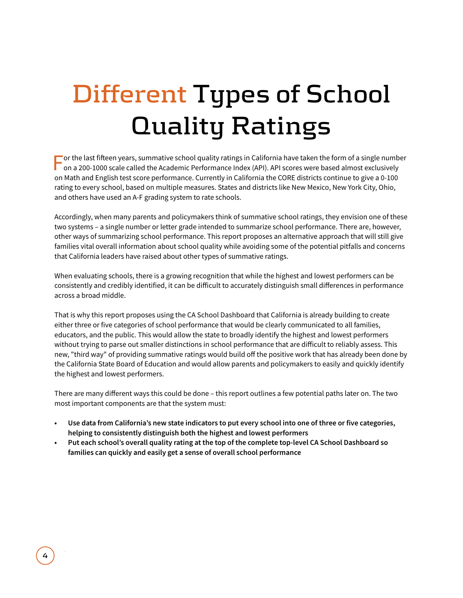# **Different Types of School Quality Ratings**

For the last fifeen years, summative school quality ratings in California have taken the form of a single number on a 200-1000 scale called the Academic Performance Index (API). API scores were based almost exclusively on Math and English test score performance. Currently in California the CORE districts continue to give a 0-100 rating to every school, based on multiple measures. States and districts like New Mexico, New York City, Ohio, and others have used an A-F grading system to rate schools.

Accordingly, when many parents and policymakers think of summative school ratings, they envision one of these two systems – a single number or letter grade intended to summarize school performance. There are, however, other ways of summarizing school performance. This report proposes an alternative approach that will still give families vital overall information about school quality while avoiding some of the potential pitfalls and concerns that California leaders have raised about other types of summative ratings.

When evaluating schools, there is a growing recognition that while the highest and lowest performers can be consistently and credibly identified, it can be dificult to accurately distinguish small diferences in performance across a broad middle.

That is why this report proposes using the CA School Dashboard that California is already building to create either three or five categories of school performance that would be clearly communicated to all families, educators, and the public. This would allow the state to broadly identify the highest and lowest performers without trying to parse out smaller distinctions in school performance that are dificult to reliably assess. This new, "third way" of providing summative ratings would build off the positive work that has already been done by the California State Board of Education and would allow parents and policymakers to easily and quickly identify the highest and lowest performers.

There are many diferent ways this could be done – this report outlines a few potential paths later on. The two most important components are that the system must:

- **• Use data from California's new state indicators to put every school into one of three or five categories, helping to consistently distinguish both the highest and lowest performers**
- **• Put each school's overall quality rating at the top of the complete top-level CA School Dashboard so families can quickly and easily get a sense of overall school performance**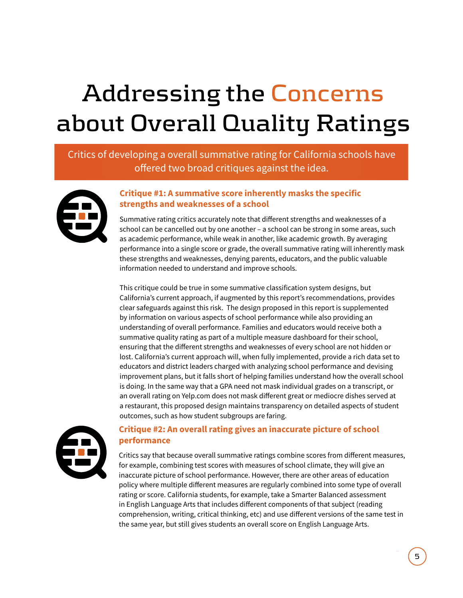# **Addressing the Concerns about Overall Quality Ratings**

### Critics of developing a overall summative rating for California schools have offered two broad critiques against the idea.



#### **Critique #1: A summative score inherently masks the specific strengths and weaknesses of a school**

Summative rating critics accurately note that diferent strengths and weaknesses of a school can be cancelled out by one another – a school can be strong in some areas, such as academic performance, while weak in another, like academic growth. By averaging performance into a single score or grade, the overall summative rating will inherently mask these strengths and weaknesses, denying parents, educators, and the public valuable information needed to understand and improve schools.

This critique could be true in some summative classification system designs, but California's current approach, if augmented by this report's recommendations, provides clear safeguards against this risk. The design proposed in this report is supplemented by information on various aspects of school performance while also providing an understanding of overall performance. Families and educators would receive both a summative quality rating as part of a multiple measure dashboard for their school, ensuring that the diferent strengths and weaknesses of every school are not hidden or lost. California's current approach will, when fully implemented, provide a rich data set to educators and district leaders charged with analyzing school performance and devising improvement plans, but it falls short of helping families understand how the overall school is doing. In the same way that a GPA need not mask individual grades on a transcript, or an overall rating on Yelp.com does not mask diferent great or mediocre dishes served at a restaurant, this proposed design maintains transparency on detailed aspects of student outcomes, such as how student subgroups are faring.



#### **Critique #2: An overall rating gives an inaccurate picture of school performance**

Critics say that because overall summative ratings combine scores from diferent measures, for example, combining test scores with measures of school climate, they will give an inaccurate picture of school performance. However, there are other areas of education policy where multiple diferent measures are regularly combined into some type of overall rating or score. California students, for example, take a Smarter Balanced assessment in English Language Arts that includes diferent components of that subject (reading comprehension, writing, critical thinking, etc) and use diferent versions of the same test in the same year, but still gives students an overall score on English Language Arts.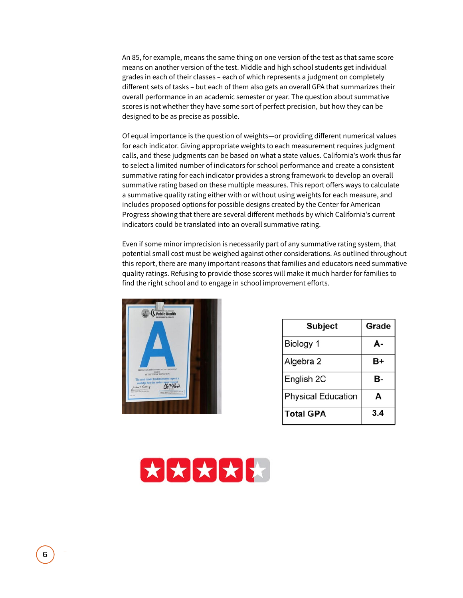An 85, for example, means the same thing on one version of the test as that same score means on another version of the test. Middle and high school students get individual grades in each of their classes – each of which represents a judgment on completely diferent sets of tasks – but each of them also gets an overall GPA that summarizes their overall performance in an academic semester or year. The question about summative scores is not whether they have some sort of perfect precision, but how they can be designed to be as precise as possible.

Of equal importance is the question of weights—or providing diferent numerical values for each indicator. Giving appropriate weights to each measurement requires judgment calls, and these judgments can be based on what a state values. California's work thus far to select a limited number of indicators for school performance and create a consistent summative rating for each indicator provides a strong framework to develop an overall summative rating based on these multiple measures. This report offers ways to calculate a summative quality rating either with or without using weights for each measure, and includes proposed options for possible designs created by the Center for American Progress showing that there are several diferent methods by which California's current indicators could be translated into an overall summative rating.

Even if some minor imprecision is necessarily part of any summative rating system, that potential small cost must be weighed against other considerations. As outlined throughout this report, there are many important reasons that families and educators need summative quality ratings. Refusing to provide those scores will make it much harder for families to find the right school and to engage in school improvement efforts.



| <b>Subject</b>            | Grade |
|---------------------------|-------|
| Biology 1                 | А-    |
| Algebra 2                 | B+    |
| English 2C                | в-    |
| <b>Physical Education</b> | A     |
| <b>Total GPA</b>          | 3.4   |

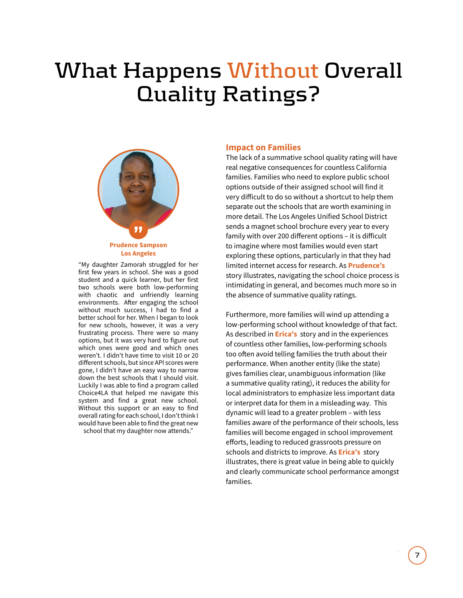## **What Happens Without Overall Quality Ratings?**



"My daughter Zamorah struggled for her first few years in school. She was a good student and a quick learner, but her first two schools were both low-performing with chaotic and unfriendly learning environments. After engaging the school without much success, I had to find a better school for her. When I began to look for new schools, however, it was a very frustrating process. There were so many options, but it was very hard to figure out which ones were good and which ones weren't. I didn't have time to visit 10 or 20 diferent schools, but since API scores were gone, I didn't have an easy way to narrow down the best schools that I should visit. Luckily I was able to find a program called Choice4LA that helped me navigate this system and find a great new school. Without this support or an easy to find overall rating for each school, I don't think I would have been able to find the great new school that my daughter now attends."

#### **Impact on Families**

The lack of a summative school quality rating will have real negative consequences for countless California families. Families who need to explore public school options outside of their assigned school will find it very dificult to do so without a shortcut to help them separate out the schools that are worth examining in more detail. The Los Angeles Unified School District sends a magnet school brochure every year to every family with over 200 diferent options – it is dificult to imagine where most families would even start exploring these options, particularly in that they had limited internet access for research. As **Prudence's**  story illustrates, navigating the school choice process is intimidating in general, and becomes much more so in the absence of summative quality ratings.

Furthermore, more families will wind up attending a low-performing school without knowledge of that fact. As described in **Erica's** story and in the experiences of countless other families, low-performing schools too often avoid telling families the truth about their performance. When another entity (like the state) gives families clear, unambiguous information (like a summative quality rating), it reduces the ability for local administrators to emphasize less important data or interpret data for them in a misleading way. This dynamic will lead to a greater problem – with less families aware of the performance of their schools, less families will become engaged in school improvement eforts, leading to reduced grassroots pressure on schools and districts to improve. As **Erica's** story illustrates, there is great value in being able to quickly and clearly communicate school performance amongst families.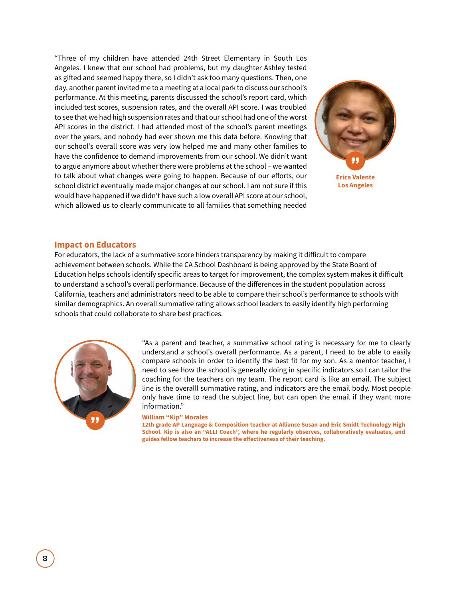"Three of my children have attended 24th Street Elementary in South Los Angeles. I knew that our school had problems, but my daughter Ashley tested as gifed and seemed happy there, so I didn't ask too many questions. Then, one day, another parent invited me to a meeting at a local park to discuss our school's performance. At this meeting, parents discussed the school's report card, which included test scores, suspension rates, and the overall API score. I was troubled to see that we had high suspension rates and that our school had one of the worst API scores in the district. I had attended most of the school's parent meetings over the years, and nobody had ever shown me this data before. Knowing that our school's overall score was very low helped me and many other families to have the confidence to demand improvements from our school. We didn't want to argue anymore about whether there were problems at the school – we wanted to talk about what changes were going to happen. Because of our eforts, our school district eventually made major changes at our school. I am not sure if this would have happened if we didn't have such a low overall API score at our school, which allowed us to clearly communicate to all families that something needed



### **Impact on Educators**

For educators, the lack of a summative score hinders transparency by making it dificult to compare achievement between schools. While the CA School Dashboard is being approved by the State Board of Education helps schools identify specific areas to target for improvement, the complex system makes it dificult to understand a school's overall performance. Because of the diferences in the student population across California, teachers and administrators need to be able to compare their school's performance to schools with similar demographics. An overall summative rating allows school leaders to easily identify high performing schools that could collaborate to share best practices.



"As a parent and teacher, a summative school rating is necessary for me to clearly understand a school's overall performance. As a parent, I need to be able to easily compare schools in order to identify the best fit for my son. As a mentor teacher, I need to see how the school is generally doing in specific indicators so I can tailor the coaching for the teachers on my team. The report card is like an email. The subject line is the overalll summative rating, and indicators are the email body. Most people only have time to read the subject line, but can open the email if they want more information."

#### **" William "Kip" Morales**

**12th grade AP Language & Composition teacher at Alliance Susan and Eric Smidt Technology High School. Kip is also an "ALLI Coach", where he regularly observes, collaboratively evaluates, and guides fellow teachers to increase the efectiveness of their teaching.**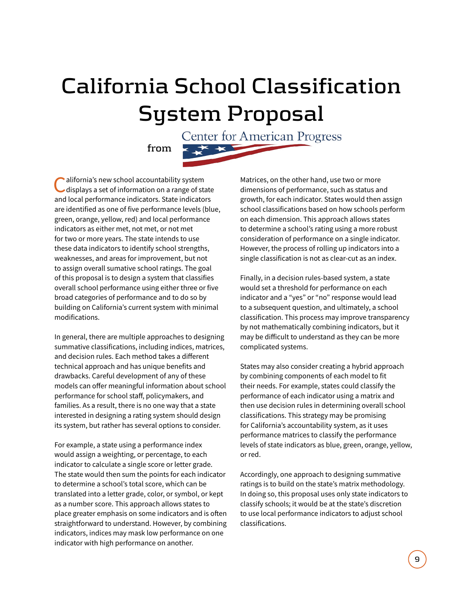## **California School Classification System Proposal**

Center for American Progress メメ

**from**

alifornia's new school accountability system displays a set of information on a range of state and local performance indicators. State indicators are identified as one of five performance levels (blue, green, orange, yellow, red) and local performance indicators as either met, not met, or not met for two or more years. The state intends to use these data indicators to identify school strengths, weaknesses, and areas for improvement, but not to assign overall sumative school ratings. The goal of this proposal is to design a system that classifies overall school performance using either three or five broad categories of performance and to do so by building on California's current system with minimal modifications.

In general, there are multiple approaches to designing summative classifications, including indices, matrices, and decision rules. Each method takes a diferent technical approach and has unique benefits and drawbacks. Careful development of any of these models can offer meaningful information about school performance for school staf, policymakers, and families. As a result, there is no one way that a state interested in designing a rating system should design its system, but rather has several options to consider.

For example, a state using a performance index would assign a weighting, or percentage, to each indicator to calculate a single score or letter grade. The state would then sum the points for each indicator to determine a school's total score, which can be translated into a letter grade, color, or symbol, or kept as a number score. This approach allows states to place greater emphasis on some indicators and is often straightforward to understand. However, by combining indicators, indices may mask low performance on one indicator with high performance on another.

Matrices, on the other hand, use two or more dimensions of performance, such as status and growth, for each indicator. States would then assign school classifications based on how schools perform on each dimension. This approach allows states to determine a school's rating using a more robust consideration of performance on a single indicator. However, the process of rolling up indicators into a single classification is not as clear-cut as an index.

Finally, in a decision rules-based system, a state would set a threshold for performance on each indicator and a "yes" or "no" response would lead to a subsequent question, and ultimately, a school classification. This process may improve transparency by not mathematically combining indicators, but it may be dificult to understand as they can be more complicated systems.

States may also consider creating a hybrid approach by combining components of each model to fit their needs. For example, states could classify the performance of each indicator using a matrix and then use decision rules in determining overall school classifications. This strategy may be promising for California's accountability system, as it uses performance matrices to classify the performance levels of state indicators as blue, green, orange, yellow, or red.

Accordingly, one approach to designing summative ratings is to build on the state's matrix methodology. In doing so, this proposal uses only state indicators to classify schools; it would be at the state's discretion to use local performance indicators to adjust school classifications.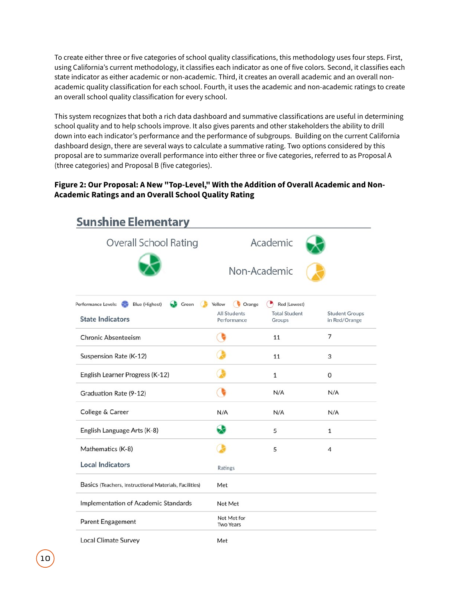To create either three or five categories of school quality classifications, this methodology uses four steps. First, using California's current methodology, it classifies each indicator as one of five colors. Second, it classifies each state indicator as either academic or non-academic. Third, it creates an overall academic and an overall nonacademic quality classification for each school. Fourth, it uses the academic and non-academic ratings to create an overall school quality classification for every school.

This system recognizes that both a rich data dashboard and summative classifications are useful in determining school quality and to help schools improve. It also gives parents and other stakeholders the ability to drill down into each indicator's performance and the performance of subgroups. Building on the current California dashboard design, there are several ways to calculate a summative rating. Two options considered by this proposal are to summarize overall performance into either three or five categories, referred to as Proposal A (three categories) and Proposal B (five categories).

#### **Figure 2: Our Proposal: A New "Top-Level," With the Addition of Overall Academic and Non-Academic Ratings and an Overall School Quality Rating**

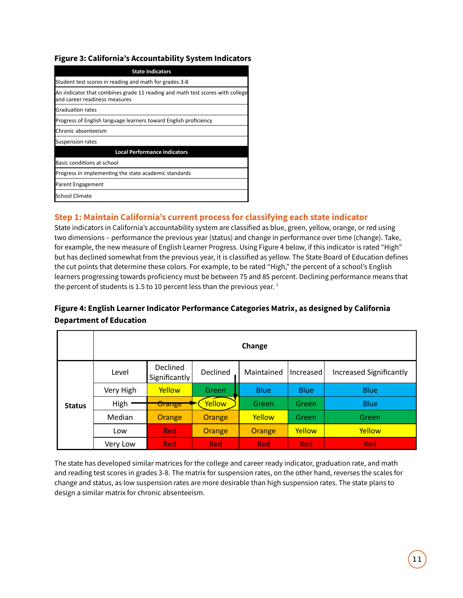#### **Figure 3: California's Accountability System Indicators**

| <b>State Indicators</b>                                                                                        |
|----------------------------------------------------------------------------------------------------------------|
| Student test scores in reading and math for grades 3-8                                                         |
| An indicator that combines grade 11 reading and math test scores with college<br>and career readiness measures |
| Graduation rates                                                                                               |
| Progress of English language learners toward English proficiency                                               |
| Chronic absenteeism                                                                                            |
| <b>Suspension rates</b>                                                                                        |
| <b>Local Performance Indicators</b>                                                                            |
| Basic conditions at school                                                                                     |
| Progress in implementing the state academic standards                                                          |
| Parent Engagement                                                                                              |
| School Climate                                                                                                 |

#### **Step 1: Maintain California's current process for classifying each state indicator**

State indicators in California's accountability system are classified as blue, green, yellow, orange, or red using two dimensions – performance the previous year (status) and change in performance over time (change). Take, for example, the new measure of English Learner Progress. Using Figure 4 below, if this indicator is rated "High" but has declined somewhat from the previous year, it is classified as yellow. The State Board of Education defines the cut points that determine these colors. For example, to be rated "High," the percent of a school's English learners progressing towards proficiency must be between 75 and 85 percent. Declining performance means that the percent of students is 1.5 to 10 percent less than the previous year.<sup>1</sup>

#### **Figure 4: English Learner Indicator Performance Categories Matrix, as designed by California Department of Education**

|               | Change    |                           |            |             |                  |                                |
|---------------|-----------|---------------------------|------------|-------------|------------------|--------------------------------|
|               | Level     | Declined<br>Significantly | Declined   | Maintained  | <b>Increased</b> | <b>Increased Significantly</b> |
|               | Very High | Yellow                    | Green      | <b>Blue</b> | <b>Blue</b>      | <b>Blue</b>                    |
| <b>Status</b> | High      | Urange                    | Yellow     | Green       | Green            | <b>Blue</b>                    |
|               | Median    | Orange                    | Orange     | Yellow      | Green            | Green                          |
|               | Low       | <b>Red</b>                | Orange     | Orange      | Yellow           | Yellow                         |
|               | Very Low  | <b>Red</b>                | <b>Red</b> | <b>Red</b>  | <b>Red</b>       | <b>Red</b>                     |

The state has developed similar matrices for the college and career ready indicator, graduation rate, and math and reading test scores in grades 3-8. The matrix for suspension rates, on the other hand, reverses the scales for change and status, as low suspension rates are more desirable than high suspension rates. The state plans to design a similar matrix for chronic absenteeism.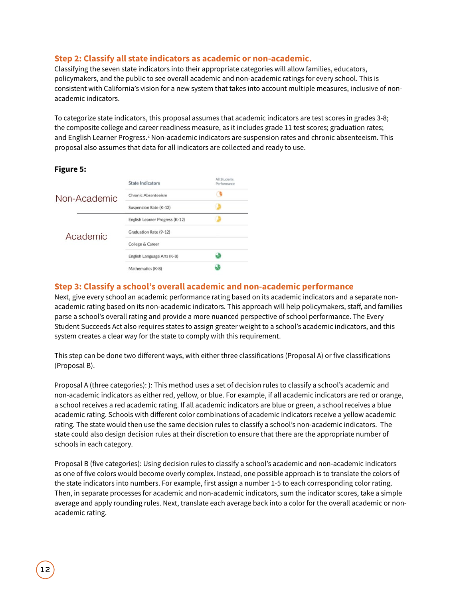#### **Step 2: Classify all state indicators as academic or non-academic.**

Classifying the seven state indicators into their appropriate categories will allow families, educators, policymakers, and the public to see overall academic and non-academic ratings for every school. This is consistent with California's vision for a new system that takes into account multiple measures, inclusive of nonacademic indicators.

To categorize state indicators, this proposal assumes that academic indicators are test scores in grades 3-8; the composite college and career readiness measure, as it includes grade 11 test scores; graduation rates; and English Learner Progress.<sup>2</sup> Non-academic indicators are suspension rates and chronic absenteeism. This proposal also assumes that data for all indicators are collected and ready to use.

#### **Figure 5:**

|              | <b>State Indicators</b>         | All Students<br>Performance |
|--------------|---------------------------------|-----------------------------|
| Non-Academic | <b>Chronic Absenteeism</b>      |                             |
|              | Suspension Rate (K-12)          |                             |
|              | English Learner Progress (K-12) |                             |
| Academic     | Graduation Rate (9-12)          |                             |
|              | College & Career                |                             |
|              | English Language Arts (K-8)     |                             |
|              | Mathematics (K-8)               |                             |

#### **Step 3: Classify a school's overall academic and non-academic performance**

Next, give every school an academic performance rating based on its academic indicators and a separate nonacademic rating based on its non-academic indicators. This approach will help policymakers, staff, and families parse a school's overall rating and provide a more nuanced perspective of school performance. The Every Student Succeeds Act also requires states to assign greater weight to a school's academic indicators, and this system creates a clear way for the state to comply with this requirement.

This step can be done two diferent ways, with either three classifications (Proposal A) or five classifications (Proposal B).

Proposal A (three categories): ): This method uses a set of decision rules to classify a school's academic and non-academic indicators as either red, yellow, or blue. For example, if all academic indicators are red or orange, a school receives a red academic rating. If all academic indicators are blue or green, a school receives a blue academic rating. Schools with diferent color combinations of academic indicators receive a yellow academic rating. The state would then use the same decision rules to classify a school's non-academic indicators. The state could also design decision rules at their discretion to ensure that there are the appropriate number of schools in each category.

Proposal B (five categories): Using decision rules to classify a school's academic and non-academic indicators as one of five colors would become overly complex. Instead, one possible approach is to translate the colors of the state indicators into numbers. For example, first assign a number 1-5 to each corresponding color rating. Then, in separate processes for academic and non-academic indicators, sum the indicator scores, take a simple average and apply rounding rules. Next, translate each average back into a color for the overall academic or nonacademic rating.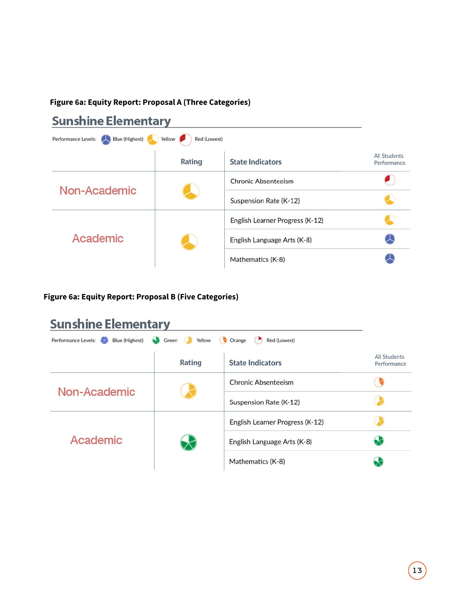#### **Figure 6a: Equity Report: Proposal A (Three Categories)**

### **Sunshine Elementary**

| Performance Levels: Blue (Highest) | Red (Lowest)<br>Yellow |                                 |                             |
|------------------------------------|------------------------|---------------------------------|-----------------------------|
|                                    | Rating                 | <b>State Indicators</b>         | All Students<br>Performance |
|                                    |                        | <b>Chronic Absenteeism</b>      |                             |
| Non-Academic                       |                        | Suspension Rate (K-12)          |                             |
|                                    |                        | English Learner Progress (K-12) |                             |
| Academic                           |                        | English Language Arts (K-8)     |                             |
|                                    |                        | Mathematics (K-8)               |                             |

### **Figure 6a: Equity Report: Proposal B (Five Categories)**

### **Sunshine Elementary**

| <b>Blue (Highest)</b><br>Performance Levels:<br>Green | Yellow | Red (Lowest)<br>Orange          |                             |
|-------------------------------------------------------|--------|---------------------------------|-----------------------------|
|                                                       | Rating | <b>State Indicators</b>         | All Students<br>Performance |
|                                                       |        | Chronic Absenteeism             |                             |
| Non-Academic                                          |        | Suspension Rate (K-12)          |                             |
|                                                       |        | English Learner Progress (K-12) |                             |
| Academic                                              |        | English Language Arts (K-8)     |                             |
|                                                       |        | Mathematics (K-8)               |                             |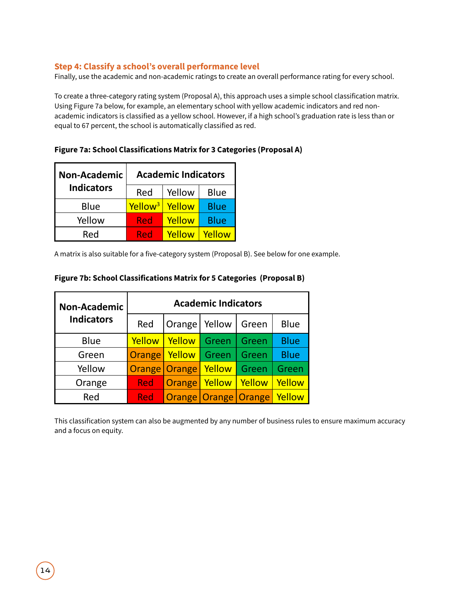#### **Step 4: Classify a school's overall performance level**

Finally, use the academic and non-academic ratings to create an overall performance rating for every school.

To create a three-category rating system (Proposal A), this approach uses a simple school classification matrix. Using Figure 7a below, for example, an elementary school with yellow academic indicators and red nonacademic indicators is classified as a yellow school. However, if a high school's graduation rate is less than or equal to 67 percent, the school is automatically classified as red.

| <b>Non-Academic</b> | <b>Academic Indicators</b> |        |             |  |
|---------------------|----------------------------|--------|-------------|--|
| <b>Indicators</b>   | Red                        | Yellow | <b>Blue</b> |  |
| Blue                | Yellow <sup>3</sup>        | Yellow | <b>Blue</b> |  |
| Yellow              | Red                        | Yellow | <b>Blue</b> |  |
| Red                 | Red                        | Yellow | Yellow      |  |

**Figure 7a: School Classifications Matrix for 3 Categories (Proposal A)**

A matrix is also suitable for a five-category system (Proposal B). See below for one example.

| <b>Non-Academic</b> | <b>Academic Indicators</b> |               |                          |        |             |  |
|---------------------|----------------------------|---------------|--------------------------|--------|-------------|--|
| <b>Indicators</b>   | Red                        | Orange        | Yellow                   | Green  | Blue        |  |
| <b>Blue</b>         | Yellow                     | Yellow        | Green                    | Green  | <b>Blue</b> |  |
| Green               | Orange                     | Yellow        | Green                    | Green  | <b>Blue</b> |  |
| Yellow              |                            | Orange Orange | Yellow                   | Green  | Green       |  |
| Orange              | <b>Red</b>                 | Orange        | Yellow                   | Yellow | Yellow      |  |
| Red                 | <b>Red</b>                 |               | Orange   Orange   Orange |        | Yellow      |  |

#### **Figure 7b: School Classifications Matrix for 5 Categories (Proposal B)**

This classification system can also be augmented by any number of business rules to ensure maximum accuracy and a focus on equity.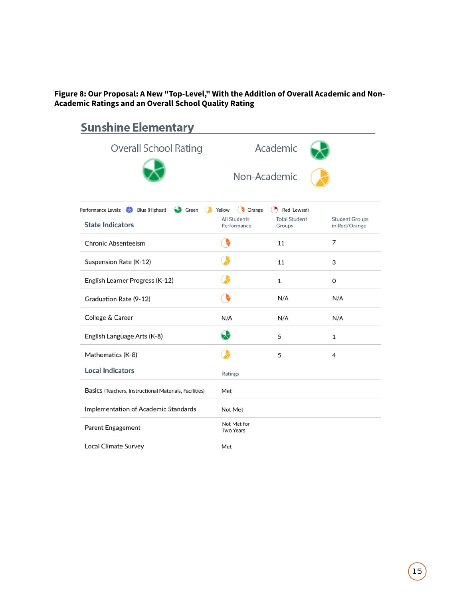**Figure 8: Our Proposal: A New "Top-Level," With the Addition of Overall Academic and Non-Academic Ratings and an Overall School Quality Rating**

| <b>Sunshine Elementary</b>                             |                                    |                                                                            |                                        |
|--------------------------------------------------------|------------------------------------|----------------------------------------------------------------------------|----------------------------------------|
| <b>Overall School Rating</b>                           |                                    | Academic                                                                   |                                        |
|                                                        |                                    | Non-Academic                                                               |                                        |
| Performance Levels:<br>Blue (Highest)<br>Green         | <b>Co</b> Orange<br>Yellow         | Red (Lowest)<br>$\left( \begin{array}{c} \blacksquare \end{array} \right)$ |                                        |
| <b>State Indicators</b>                                | <b>All Students</b><br>Performance | <b>Total Student</b><br>Groups                                             | <b>Student Groups</b><br>in Red/Orange |
| <b>Chronic Absenteeism</b>                             |                                    | 11                                                                         | 7                                      |
| Suspension Rate (K-12)                                 |                                    | 11                                                                         | 3                                      |
| English Learner Progress (K-12)                        |                                    | $\mathbf{1}$                                                               | 0                                      |
| Graduation Rate (9-12)                                 |                                    | N/A                                                                        | N/A                                    |
| College & Career                                       | N/A                                | N/A                                                                        | N/A                                    |
| English Language Arts (K-8)                            | 63                                 | 5                                                                          | $\mathbf{1}$                           |
| Mathematics (K-8)                                      |                                    | 5                                                                          | 4                                      |
| <b>Local Indicators</b>                                | Ratings                            |                                                                            |                                        |
| Basics (Teachers, Instructional Materials, Facilities) | Met                                |                                                                            |                                        |
| Implementation of Academic Standards                   | Not Met                            |                                                                            |                                        |
| Parent Engagement                                      | Not Met for<br><b>Two Years</b>    |                                                                            |                                        |
| <b>Local Climate Survey</b>                            | Met                                |                                                                            |                                        |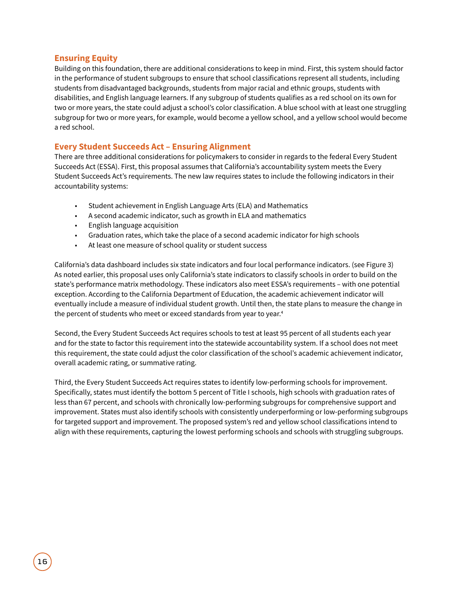#### **Ensuring Equity**

Building on this foundation, there are additional considerations to keep in mind. First, this system should factor in the performance of student subgroups to ensure that school classifications represent all students, including students from disadvantaged backgrounds, students from major racial and ethnic groups, students with disabilities, and English language learners. If any subgroup of students qualifies as a red school on its own for two or more years, the state could adjust a school's color classification. A blue school with at least one struggling subgroup for two or more years, for example, would become a yellow school, and a yellow school would become a red school.

#### **Every Student Succeeds Act – Ensuring Alignment**

There are three additional considerations for policymakers to consider in regards to the federal Every Student Succeeds Act (ESSA). First, this proposal assumes that California's accountability system meets the Every Student Succeeds Act's requirements. The new law requires states to include the following indicators in their accountability systems:

- Student achievement in English Language Arts (ELA) and Mathematics
- A second academic indicator, such as growth in ELA and mathematics
- English language acquisition
- Graduation rates, which take the place of a second academic indicator for high schools
- At least one measure of school quality or student success

California's data dashboard includes six state indicators and four local performance indicators. (see Figure 3) As noted earlier, this proposal uses only California's state indicators to classify schools in order to build on the state's performance matrix methodology. These indicators also meet ESSA's requirements – with one potential exception. According to the California Department of Education, the academic achievement indicator will eventually include a measure of individual student growth. Until then, the state plans to measure the change in the percent of students who meet or exceed standards from year to year.<sup>4</sup>

Second, the Every Student Succeeds Act requires schools to test at least 95 percent of all students each year and for the state to factor this requirement into the statewide accountability system. If a school does not meet this requirement, the state could adjust the color classification of the school's academic achievement indicator, overall academic rating, or summative rating.

Third, the Every Student Succeeds Act requires states to identify low-performing schools for improvement. Specifically, states must identify the bottom 5 percent of Title I schools, high schools with graduation rates of less than 67 percent, and schools with chronically low-performing subgroups for comprehensive support and improvement. States must also identify schools with consistently underperforming or low-performing subgroups for targeted support and improvement. The proposed system's red and yellow school classifications intend to align with these requirements, capturing the lowest performing schools and schools with struggling subgroups.